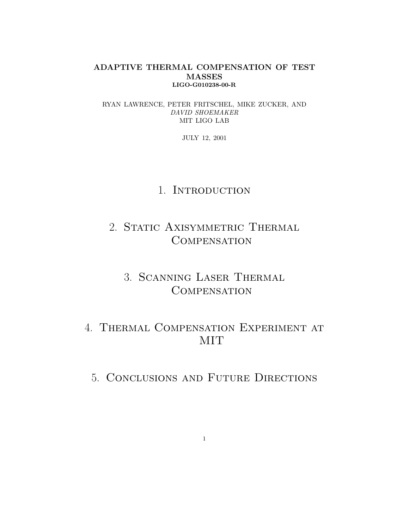### **ADAPTIVE THERMAL COMPENSATION OF TEST MASSES LIGO-G010238-00-R**

RYAN LAWRENCE, PETER FRITSCHEL, MIKE ZUCKER, AND DAVID SHOEMAKER MIT LIGO LAB

JULY 12, 2001

### 1. INTRODUCTION

### 2. STATIC AXISYMMETRIC THERMAL **COMPENSATION**

### 3. Scanning Laser Thermal **COMPENSATION**

### 4. Thermal Compensation Experiment at MIT

### 5. Conclusions and Future Directions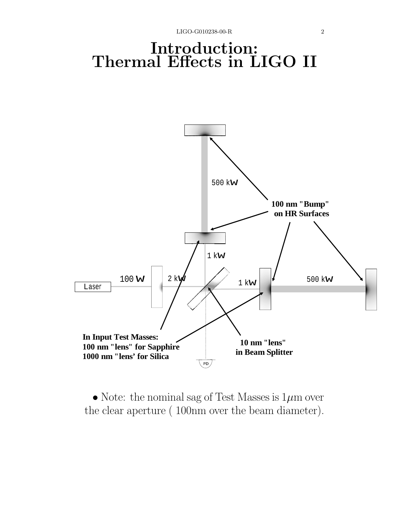# **Introduction: Thermal Effects in LIGO II**



 $\bullet$  Note: the nominal sag of Test Masses is  $1\mu{\rm m}$  over the clear aperture ( 100nm over the beam diameter).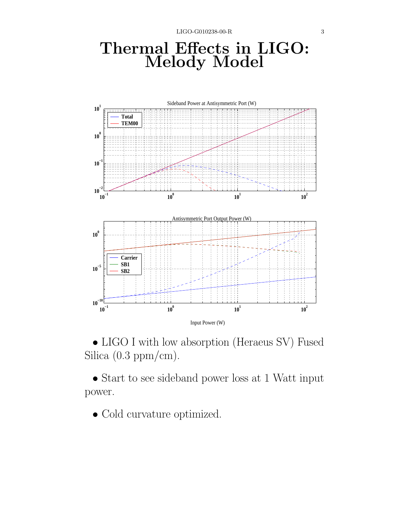LIGO-G010238-00-R 3

# **Thermal Effects in LIGO: Melody Model**





• Start to see sideband power loss at 1 Watt input power.

• Cold curvature optimized.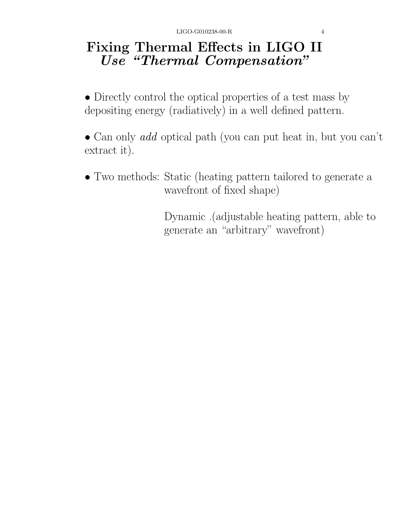# **Fixing Thermal Effects in LIGO II** *Use "Thermal Compensation"*

• Directly control the optical properties of a test mass by depositing energy (radiatively) in a well defined pattern.

• Can only *add* optical path (you can put heat in, but you can't extract it).

• Two methods: Static (heating pattern tailored to generate a wavefront of fixed shape)

> Dynamic .(adjustable heating pattern, able to generate an "arbitrary" wavefront)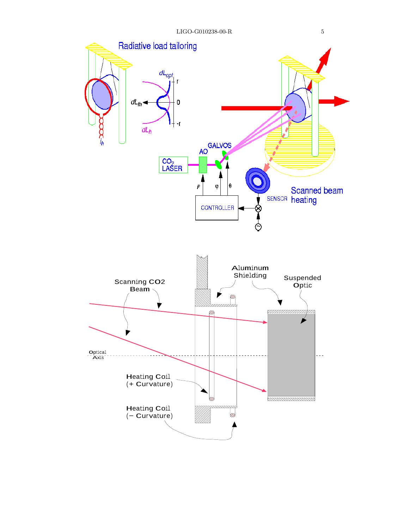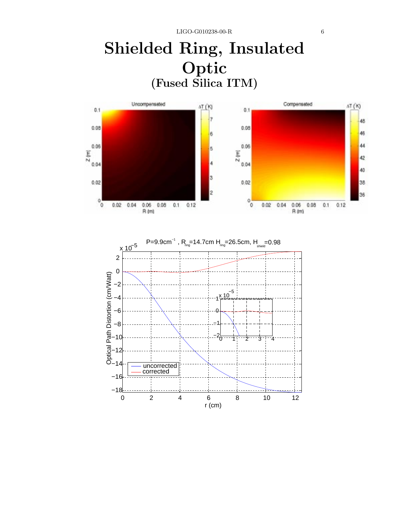# **Shielded Ring, Insulated Optic (Fused Silica ITM)**



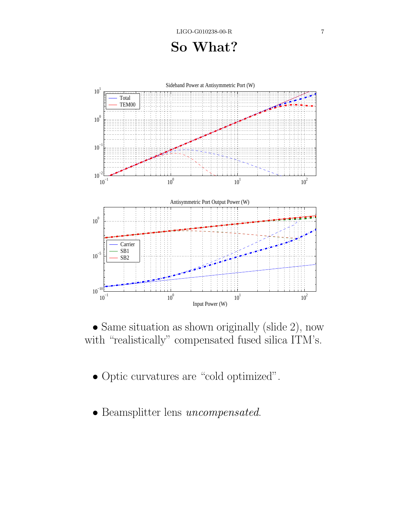**So What?**



• Same situation as shown originally (slide 2), now with "realistically" compensated fused silica ITM's.

- Optic curvatures are "cold optimized".
- Beamsplitter lens uncompensated.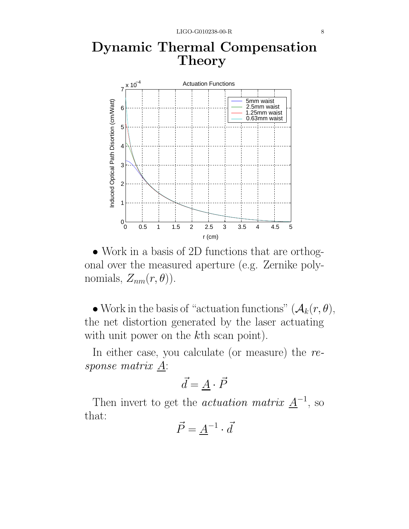### **Dynamic Thermal Compensation Theory**



• Work in a basis of 2D functions that are orthogonal over the measured aperture (e.g. Zernike polynomials,  $Z_{nm}(r, \theta)$ ).

• Work in the basis of "actuation functions"  $(\mathcal{A}_k(r,\theta),$ the net distortion generated by the laser actuating with unit power on the k<sup>th</sup> scan point).

In either case, you calculate (or measure) the response matrix  $\underline{A}$ :

$$
\vec{d} = \underline{A} \cdot \vec{P}
$$

Then invert to get the *actuation matrix*  $\underline{A}^{-1}$ , so that:

$$
\vec{P} = \underline{A}^{-1} \cdot \vec{d}
$$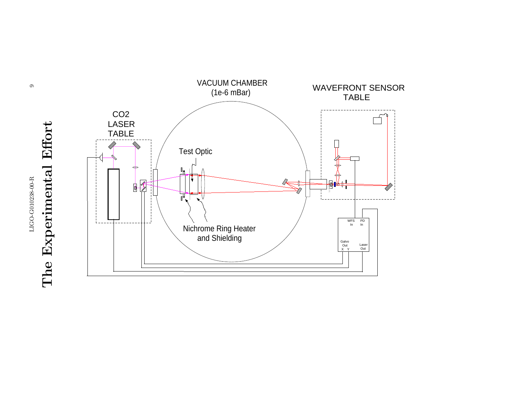

# The Experimental Effort **The Experimental Effort**

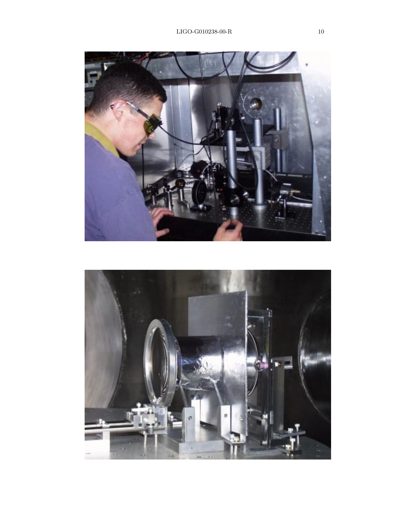

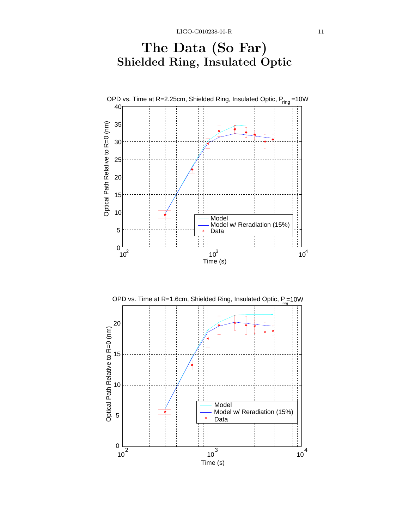



 $10^{10}$  10  $10^{10}$  10  $0\frac{1}{2}$   $3$ 

 $\frac{10^{3}}{\text{Time (s)}}$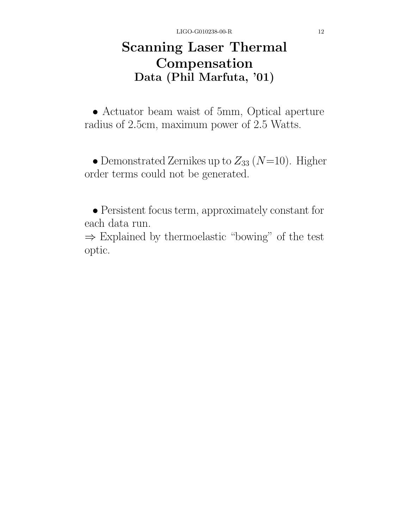## **Scanning Laser Thermal Compensation Data (Phil Marfuta, '01)**

• Actuator beam waist of 5mm, Optical aperture radius of 2.5cm, maximum power of 2.5 Watts.

• Demonstrated Zernikes up to  $Z_{33}$  (N=10). Higher order terms could not be generated.

• Persistent focus term, approximately constant for each data run.

⇒ Explained by thermoelastic "bowing" of the test optic.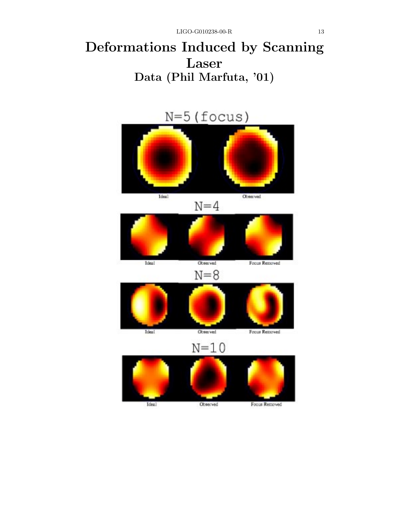# **Deformations Induced by Scanning Laser Data (Phil Marfuta, '01)**